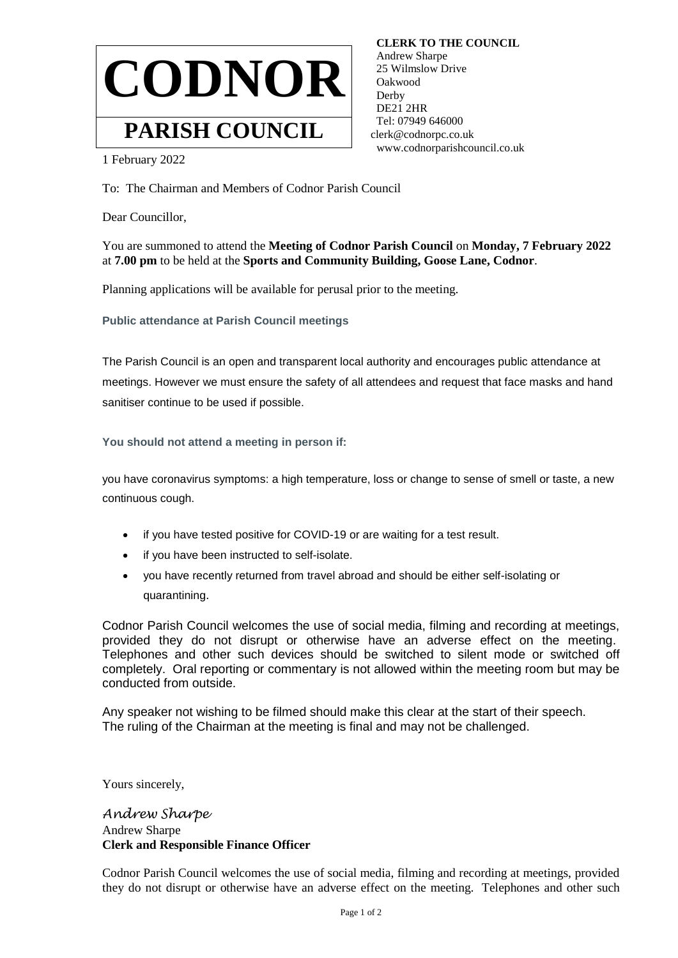

 **CLERK TO THE COUNCIL** Andrew Sharpe 25 Wilmslow Drive Oakwood Derby DE21 2HR Tel: 07949 646000 clerk@codnorpc.co.uk www.codnorparishcouncil.co.uk

1 February 2022

To: The Chairman and Members of Codnor Parish Council

Dear Councillor,

You are summoned to attend the **Meeting of Codnor Parish Council** on **Monday, 7 February 2022**  at **7.00 pm** to be held at the **Sports and Community Building, Goose Lane, Codnor**.

Planning applications will be available for perusal prior to the meeting.

**Public attendance at Parish Council meetings**

The Parish Council is an open and transparent local authority and encourages public attendance at meetings. However we must ensure the safety of all attendees and request that face masks and hand sanitiser continue to be used if possible.

**You should not attend a meeting in person if:**

you have coronavirus symptoms: a high temperature, loss or change to sense of smell or taste, a new continuous cough.

- if you have tested positive for COVID-19 or are waiting for a test result.
- if you have been instructed to self-isolate.
- you have recently returned from travel abroad and should be either self-isolating or quarantining.

Codnor Parish Council welcomes the use of social media, filming and recording at meetings, provided they do not disrupt or otherwise have an adverse effect on the meeting. Telephones and other such devices should be switched to silent mode or switched off completely. Oral reporting or commentary is not allowed within the meeting room but may be conducted from outside.

Any speaker not wishing to be filmed should make this clear at the start of their speech. The ruling of the Chairman at the meeting is final and may not be challenged.

Yours sincerely,

*Andrew Sharpe* Andrew Sharpe **Clerk and Responsible Finance Officer**

Codnor Parish Council welcomes the use of social media, filming and recording at meetings, provided they do not disrupt or otherwise have an adverse effect on the meeting. Telephones and other such